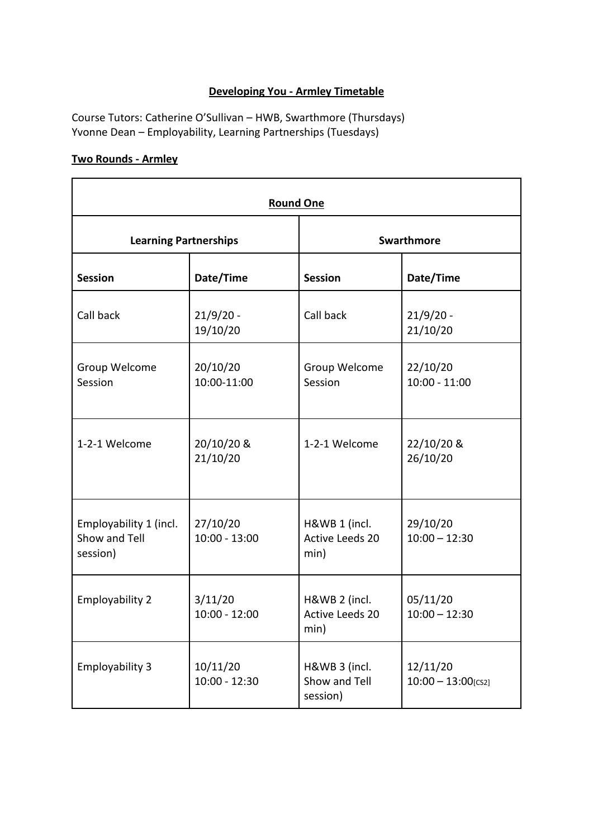## **Developing You - Armley Timetable**

Course Tutors: Catherine O'Sullivan – HWB, Swarthmore (Thursdays) Yvonne Dean – Employability, Learning Partnerships (Tuesdays)

## **Two Rounds - Armley**

| <b>Round One</b>                                    |                             |                                                 |                                   |  |
|-----------------------------------------------------|-----------------------------|-------------------------------------------------|-----------------------------------|--|
| <b>Learning Partnerships</b>                        |                             | <b>Swarthmore</b>                               |                                   |  |
| <b>Session</b>                                      | Date/Time                   | <b>Session</b>                                  | Date/Time                         |  |
| Call back                                           | $21/9/20 -$<br>19/10/20     | Call back                                       | $21/9/20 -$<br>21/10/20           |  |
| Group Welcome<br>Session                            | 20/10/20<br>10:00-11:00     | Group Welcome<br>Session                        | 22/10/20<br>$10:00 - 11:00$       |  |
| 1-2-1 Welcome                                       | 20/10/20 &<br>21/10/20      | 1-2-1 Welcome                                   | 22/10/20 &<br>26/10/20            |  |
| Employability 1 (incl.<br>Show and Tell<br>session) | 27/10/20<br>$10:00 - 13:00$ | H&WB 1 (incl.<br><b>Active Leeds 20</b><br>min) | 29/10/20<br>$10:00 - 12:30$       |  |
| <b>Employability 2</b>                              | 3/11/20<br>$10:00 - 12:00$  | H&WB 2 (incl.<br>Active Leeds 20<br>min)        | 05/11/20<br>$10:00 - 12:30$       |  |
| Employability 3                                     | 10/11/20<br>$10:00 - 12:30$ | H&WB 3 (incl.<br>Show and Tell<br>session)      | 12/11/20<br>$10:00 - 13:00$ [CS2] |  |